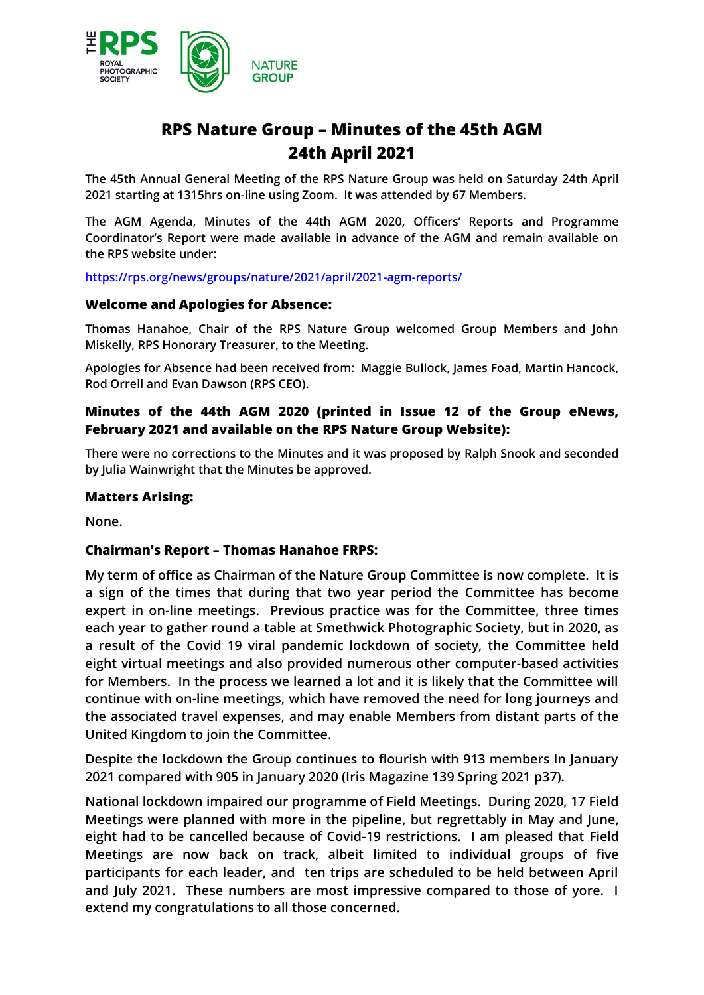

# **RPS Nature Group – Minutes of the 45th AGM 24th April 2021**

**The 45th Annual General Meeting of the RPS Nature Group was held on Saturday 24th April 2021 starting at 1315hrs on-line using Zoom. It was attended by 67 Members.**

**The AGM Agenda, Minutes of the 44th AGM 2020, Officers' Reports and Programme Coordinator's Report were made available in advance of the AGM and remain available on the RPS website under:**

**<https://rps.org/news/groups/nature/2021/april/2021-agm-reports/>**

#### **Welcome and Apologies for Absence:**

**Thomas Hanahoe, Chair of the RPS Nature Group welcomed Group Members and John Miskelly, RPS Honorary Treasurer, to the Meeting.** 

**Apologies for Absence had been received from: Maggie Bullock, James Foad, Martin Hancock, Rod Orrell and Evan Dawson (RPS CEO).**

# **Minutes of the 44th AGM 2020 (printed in Issue 12 of the Group eNews, February 2021 and available on the RPS Nature Group Website):**

**There were no corrections to the Minutes and it was proposed by Ralph Snook and seconded by Julia Wainwright that the Minutes be approved.**

## **Matters Arising:**

**None.**

# **Chairman's Report – Thomas Hanahoe FRPS:**

**My term of office as Chairman of the Nature Group Committee is now complete. It is a sign of the times that during that two year period the Committee has become expert in on-line meetings. Previous practice was for the Committee, three times each year to gather round a table at Smethwick Photographic Society, but in 2020, as a result of the Covid 19 viral pandemic lockdown of society, the Committee held eight virtual meetings and also provided numerous other computer-based activities for Members. In the process we learned a lot and it is likely that the Committee will continue with on-line meetings, which have removed the need for long journeys and the associated travel expenses, and may enable Members from distant parts of the United Kingdom to join the Committee.**

**Despite the lockdown the Group continues to flourish with 913 members In January 2021 compared with 905 in January 2020 (Iris Magazine 139 Spring 2021 p37).**

**National lockdown impaired our programme of Field Meetings. During 2020, 17 Field Meetings were planned with more in the pipeline, but regrettably in May and June, eight had to be cancelled because of Covid-19 restrictions. I am pleased that Field Meetings are now back on track, albeit limited to individual groups of five participants for each leader, and ten trips are scheduled to be held between April and July 2021. These numbers are most impressive compared to those of yore. I extend my congratulations to all those concerned.**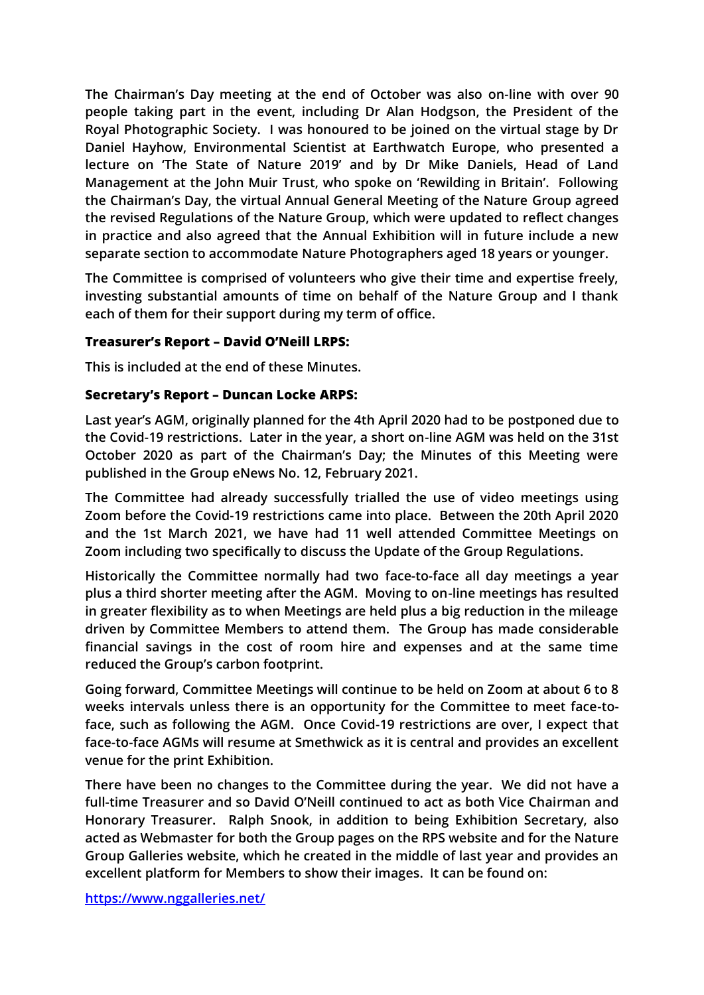**The Chairman's Day meeting at the end of October was also on-line with over 90 people taking part in the event, including Dr Alan Hodgson, the President of the Royal Photographic Society. I was honoured to be joined on the virtual stage by Dr Daniel Hayhow, Environmental Scientist at Earthwatch Europe, who presented a lecture on 'The State of Nature 2019' and by Dr Mike Daniels, Head of Land Management at the John Muir Trust, who spoke on 'Rewilding in Britain'. Following the Chairman's Day, the virtual Annual General Meeting of the Nature Group agreed the revised Regulations of the Nature Group, which were updated to reflect changes in practice and also agreed that the Annual Exhibition will in future include a new separate section to accommodate Nature Photographers aged 18 years or younger.**

**The Committee is comprised of volunteers who give their time and expertise freely, investing substantial amounts of time on behalf of the Nature Group and I thank each of them for their support during my term of office.**

# **Treasurer's Report – David O'Neill LRPS:**

**This is included at the end of these Minutes.**

# **Secretary's Report – Duncan Locke ARPS:**

**Last year's AGM, originally planned for the 4th April 2020 had to be postponed due to the Covid-19 restrictions. Later in the year, a short on-line AGM was held on the 31st October 2020 as part of the Chairman's Day; the Minutes of this Meeting were published in the Group eNews No. 12, February 2021.** 

**The Committee had already successfully trialled the use of video meetings using Zoom before the Covid-19 restrictions came into place. Between the 20th April 2020 and the 1st March 2021, we have had 11 well attended Committee Meetings on Zoom including two specifically to discuss the Update of the Group Regulations.** 

**Historically the Committee normally had two face-to-face all day meetings a year plus a third shorter meeting after the AGM. Moving to on-line meetings has resulted in greater flexibility as to when Meetings are held plus a big reduction in the mileage driven by Committee Members to attend them. The Group has made considerable financial savings in the cost of room hire and expenses and at the same time reduced the Group's carbon footprint.**

**Going forward, Committee Meetings will continue to be held on Zoom at about 6 to 8 weeks intervals unless there is an opportunity for the Committee to meet face-toface, such as following the AGM. Once Covid-19 restrictions are over, I expect that face-to-face AGMs will resume at Smethwick as it is central and provides an excellent venue for the print Exhibition.**

**There have been no changes to the Committee during the year. We did not have a full-time Treasurer and so David O'Neill continued to act as both Vice Chairman and Honorary Treasurer. Ralph Snook, in addition to being Exhibition Secretary, also acted as Webmaster for both the Group pages on the RPS website and for the Nature Group Galleries website, which he created in the middle of last year and provides an excellent platform for Members to show their images. It can be found on:**

**<https://www.nggalleries.net/>**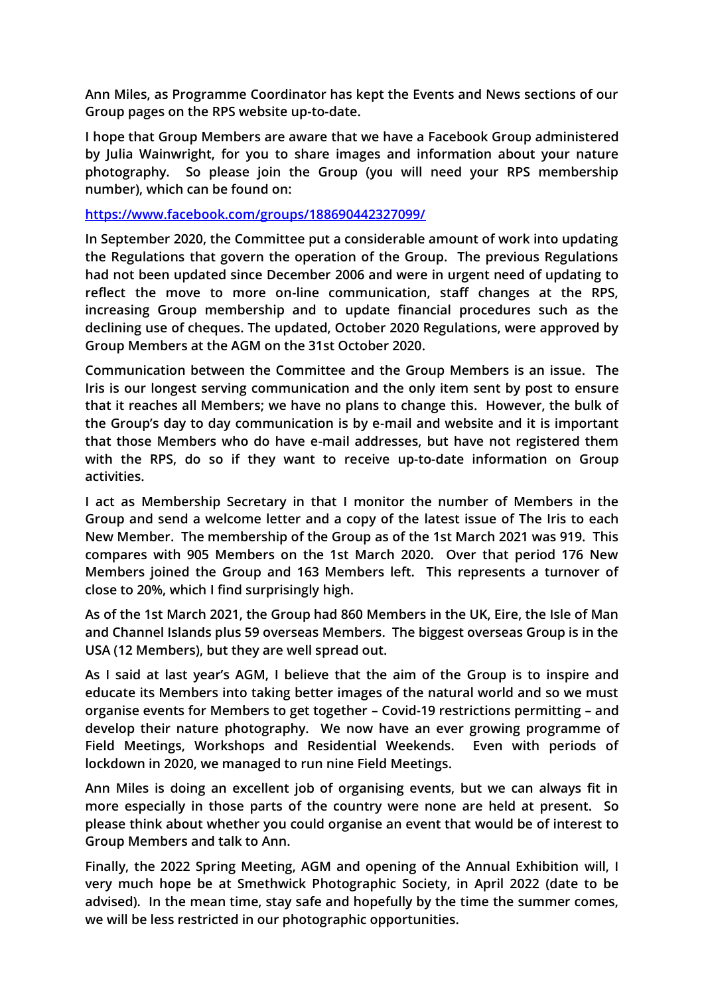**Ann Miles, as Programme Coordinator has kept the Events and News sections of our Group pages on the RPS website up-to-date.**

**I hope that Group Members are aware that we have a Facebook Group administered by Julia Wainwright, for you to share images and information about your nature photography. So please join the Group (you will need your RPS membership number), which can be found on:**

#### **<https://www.facebook.com/groups/188690442327099/>**

**In September 2020, the Committee put a considerable amount of work into updating the Regulations that govern the operation of the Group. The previous Regulations had not been updated since December 2006 and were in urgent need of updating to reflect the move to more on-line communication, staff changes at the RPS, increasing Group membership and to update financial procedures such as the declining use of cheques. The updated, October 2020 Regulations, were approved by Group Members at the AGM on the 31st October 2020.**

**Communication between the Committee and the Group Members is an issue. The Iris is our longest serving communication and the only item sent by post to ensure that it reaches all Members; we have no plans to change this. However, the bulk of the Group's day to day communication is by e-mail and website and it is important that those Members who do have e-mail addresses, but have not registered them with the RPS, do so if they want to receive up-to-date information on Group activities.**

**I act as Membership Secretary in that I monitor the number of Members in the Group and send a welcome letter and a copy of the latest issue of The Iris to each New Member. The membership of the Group as of the 1st March 2021 was 919. This compares with 905 Members on the 1st March 2020. Over that period 176 New Members joined the Group and 163 Members left. This represents a turnover of close to 20%, which I find surprisingly high.**

**As of the 1st March 2021, the Group had 860 Members in the UK, Eire, the Isle of Man and Channel Islands plus 59 overseas Members. The biggest overseas Group is in the USA (12 Members), but they are well spread out.**

**As I said at last year's AGM, I believe that the aim of the Group is to inspire and educate its Members into taking better images of the natural world and so we must organise events for Members to get together – Covid-19 restrictions permitting – and develop their nature photography. We now have an ever growing programme of Field Meetings, Workshops and Residential Weekends. Even with periods of lockdown in 2020, we managed to run nine Field Meetings.**

**Ann Miles is doing an excellent job of organising events, but we can always fit in more especially in those parts of the country were none are held at present. So please think about whether you could organise an event that would be of interest to Group Members and talk to Ann.**

**Finally, the 2022 Spring Meeting, AGM and opening of the Annual Exhibition will, I very much hope be at Smethwick Photographic Society, in April 2022 (date to be advised). In the mean time, stay safe and hopefully by the time the summer comes, we will be less restricted in our photographic opportunities.**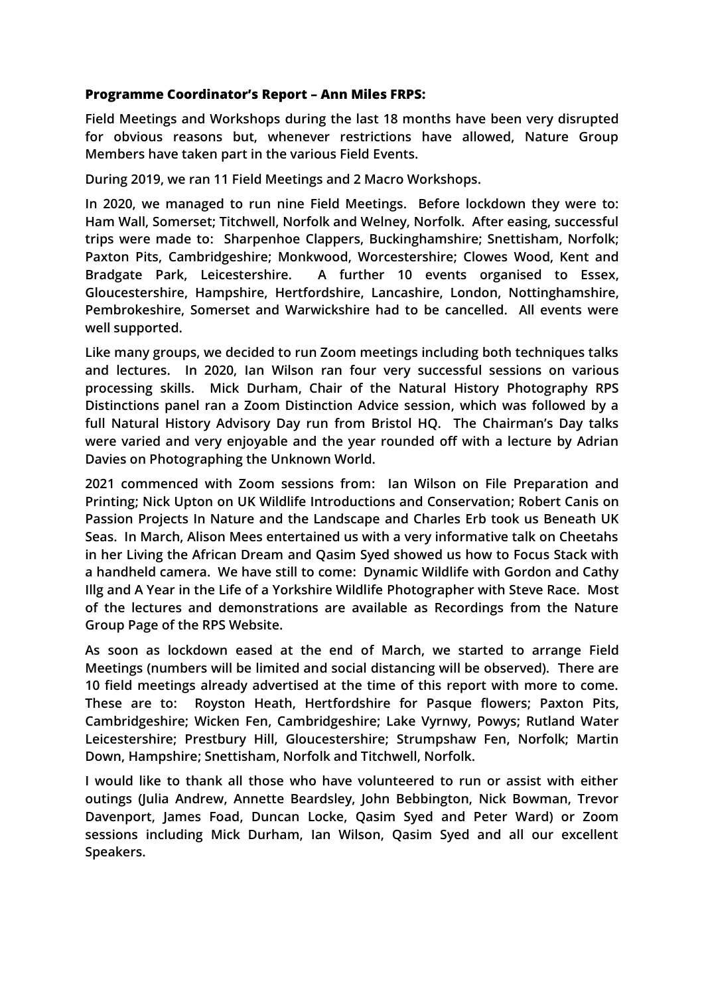# **Programme Coordinator's Report – Ann Miles FRPS:**

**Field Meetings and Workshops during the last 18 months have been very disrupted for obvious reasons but, whenever restrictions have allowed, Nature Group Members have taken part in the various Field Events.**

**During 2019, we ran 11 Field Meetings and 2 Macro Workshops.** 

**In 2020, we managed to run nine Field Meetings. Before lockdown they were to: Ham Wall, Somerset; Titchwell, Norfolk and Welney, Norfolk. After easing, successful trips were made to: Sharpenhoe Clappers, Buckinghamshire; Snettisham, Norfolk; Paxton Pits, Cambridgeshire; Monkwood, Worcestershire; Clowes Wood, Kent and Bradgate Park, Leicestershire. A further 10 events organised to Essex, Gloucestershire, Hampshire, Hertfordshire, Lancashire, London, Nottinghamshire, Pembrokeshire, Somerset and Warwickshire had to be cancelled. All events were well supported.**

**Like many groups, we decided to run Zoom meetings including both techniques talks and lectures. In 2020, Ian Wilson ran four very successful sessions on various processing skills. Mick Durham, Chair of the Natural History Photography RPS Distinctions panel ran a Zoom Distinction Advice session, which was followed by a full Natural History Advisory Day run from Bristol HQ. The Chairman's Day talks were varied and very enjoyable and the year rounded off with a lecture by Adrian Davies on Photographing the Unknown World.**

**2021 commenced with Zoom sessions from: Ian Wilson on File Preparation and Printing; Nick Upton on UK Wildlife Introductions and Conservation; Robert Canis on Passion Projects In Nature and the Landscape and Charles Erb took us Beneath UK Seas. In March, Alison Mees entertained us with a very informative talk on Cheetahs in her Living the African Dream and Qasim Syed showed us how to Focus Stack with a handheld camera. We have still to come: Dynamic Wildlife with Gordon and Cathy Illg and A Year in the Life of a Yorkshire Wildlife Photographer with Steve Race. Most of the lectures and demonstrations are available as Recordings from the Nature Group Page of the RPS Website.**

**As soon as lockdown eased at the end of March, we started to arrange Field Meetings (numbers will be limited and social distancing will be observed). There are 10 field meetings already advertised at the time of this report with more to come. These are to: Royston Heath, Hertfordshire for Pasque flowers; Paxton Pits, Cambridgeshire; Wicken Fen, Cambridgeshire; Lake Vyrnwy, Powys; Rutland Water Leicestershire; Prestbury Hill, Gloucestershire; Strumpshaw Fen, Norfolk; Martin Down, Hampshire; Snettisham, Norfolk and Titchwell, Norfolk.**

**I would like to thank all those who have volunteered to run or assist with either outings (Julia Andrew, Annette Beardsley, John Bebbington, Nick Bowman, Trevor Davenport, James Foad, Duncan Locke, Qasim Syed and Peter Ward) or Zoom sessions including Mick Durham, Ian Wilson, Qasim Syed and all our excellent Speakers.**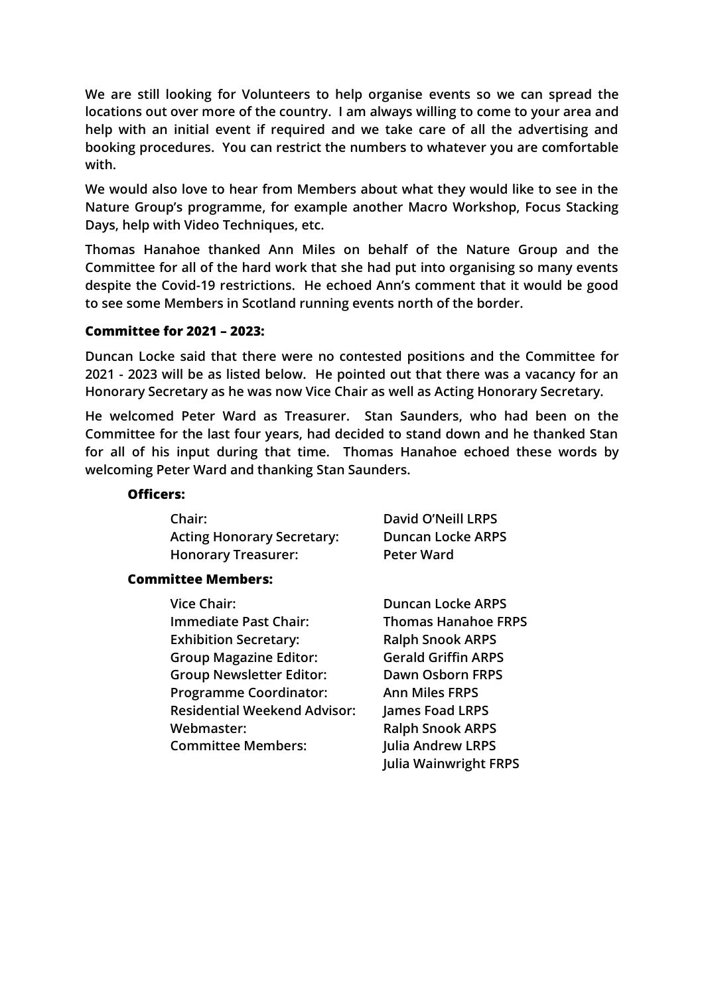**We are still looking for Volunteers to help organise events so we can spread the locations out over more of the country. I am always willing to come to your area and help with an initial event if required and we take care of all the advertising and booking procedures. You can restrict the numbers to whatever you are comfortable with.**

**We would also love to hear from Members about what they would like to see in the Nature Group's programme, for example another Macro Workshop, Focus Stacking Days, help with Video Techniques, etc.**

**Thomas Hanahoe thanked Ann Miles on behalf of the Nature Group and the Committee for all of the hard work that she had put into organising so many events despite the Covid-19 restrictions. He echoed Ann's comment that it would be good to see some Members in Scotland running events north of the border.**

#### **Committee for 2021 – 2023:**

**Duncan Locke said that there were no contested positions and the Committee for 2021 - 2023 will be as listed below. He pointed out that there was a vacancy for an Honorary Secretary as he was now Vice Chair as well as Acting Honorary Secretary.**

**He welcomed Peter Ward as Treasurer. Stan Saunders, who had been on the Committee for the last four years, had decided to stand down and he thanked Stan for all of his input during that time. Thomas Hanahoe echoed these words by welcoming Peter Ward and thanking Stan Saunders.** 

#### **Officers:**

| <b>Chair:</b>                     | David O'Neill LRPS       |
|-----------------------------------|--------------------------|
| <b>Acting Honorary Secretary:</b> | <b>Duncan Locke ARPS</b> |
| <b>Honorary Treasurer:</b>        | <b>Peter Ward</b>        |

#### **Committee Members:**

| <b>Vice Chair:</b>                  | <b>Duncan Locke ARPS</b>     |
|-------------------------------------|------------------------------|
| Immediate Past Chair:               | <b>Thomas Hanahoe FRPS</b>   |
| <b>Exhibition Secretary:</b>        | <b>Ralph Snook ARPS</b>      |
| <b>Group Magazine Editor:</b>       | <b>Gerald Griffin ARPS</b>   |
| <b>Group Newsletter Editor:</b>     | <b>Dawn Osborn FRPS</b>      |
| <b>Programme Coordinator:</b>       | <b>Ann Miles FRPS</b>        |
| <b>Residential Weekend Advisor:</b> | James Foad LRPS              |
| Webmaster:                          | <b>Ralph Snook ARPS</b>      |
| <b>Committee Members:</b>           | <b>Julia Andrew LRPS</b>     |
|                                     | <b>Julia Wainwright FRPS</b> |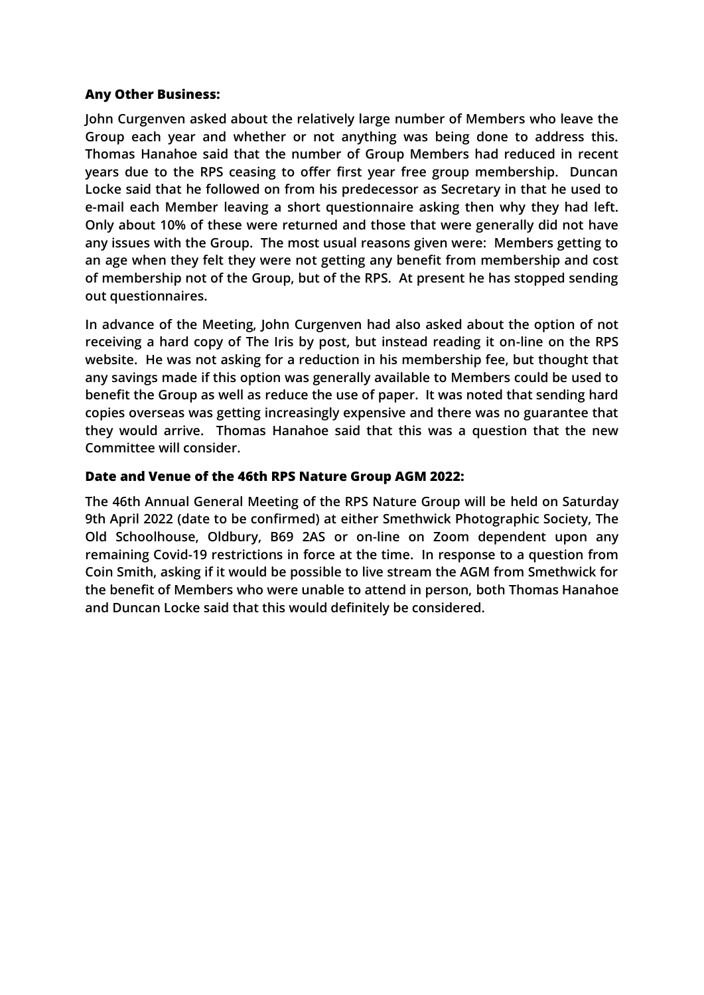# **Any Other Business:**

**John Curgenven asked about the relatively large number of Members who leave the Group each year and whether or not anything was being done to address this. Thomas Hanahoe said that the number of Group Members had reduced in recent years due to the RPS ceasing to offer first year free group membership. Duncan Locke said that he followed on from his predecessor as Secretary in that he used to e-mail each Member leaving a short questionnaire asking then why they had left. Only about 10% of these were returned and those that were generally did not have any issues with the Group. The most usual reasons given were: Members getting to an age when they felt they were not getting any benefit from membership and cost of membership not of the Group, but of the RPS. At present he has stopped sending out questionnaires.**

**In advance of the Meeting, John Curgenven had also asked about the option of not receiving a hard copy of The Iris by post, but instead reading it on-line on the RPS website. He was not asking for a reduction in his membership fee, but thought that any savings made if this option was generally available to Members could be used to benefit the Group as well as reduce the use of paper. It was noted that sending hard copies overseas was getting increasingly expensive and there was no guarantee that they would arrive. Thomas Hanahoe said that this was a question that the new Committee will consider.** 

# **Date and Venue of the 46th RPS Nature Group AGM 2022:**

**The 46th Annual General Meeting of the RPS Nature Group will be held on Saturday 9th April 2022 (date to be confirmed) at either Smethwick Photographic Society, The Old Schoolhouse, Oldbury, B69 2AS or on-line on Zoom dependent upon any remaining Covid-19 restrictions in force at the time. In response to a question from Coin Smith, asking if it would be possible to live stream the AGM from Smethwick for the benefit of Members who were unable to attend in person, both Thomas Hanahoe and Duncan Locke said that this would definitely be considered.**